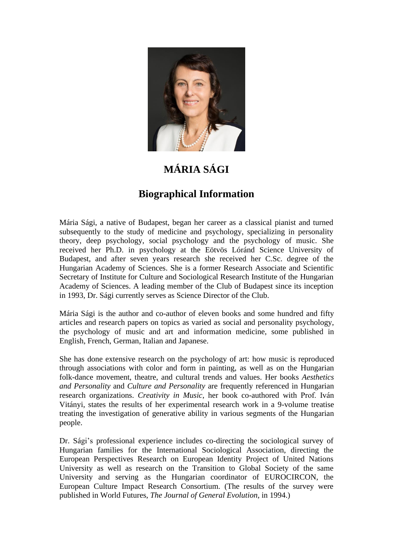

## **MÁRIA SÁGI**

## **Biographical Information**

Mária Sági, a native of Budapest, began her career as a classical pianist and turned subsequently to the study of medicine and psychology, specializing in personality theory, deep psychology, social psychology and the psychology of music. She received her Ph.D. in psychology at the Eötvös Lóránd Science University of Budapest, and after seven years research she received her C.Sc. degree of the Hungarian Academy of Sciences. She is a former Research Associate and Scientific Secretary of Institute for Culture and Sociological Research Institute of the Hungarian Academy of Sciences. A leading member of the Club of Budapest since its inception in 1993, Dr. Sági currently serves as Science Director of the Club.

Mária Sági is the author and co-author of eleven books and some hundred and fifty articles and research papers on topics as varied as social and personality psychology, the psychology of music and art and information medicine, some published in English, French, German, Italian and Japanese.

She has done extensive research on the psychology of art: how music is reproduced through associations with color and form in painting, as well as on the Hungarian folk-dance movement, theatre, and cultural trends and values. Her books *Aesthetics and Personality* and *Culture and Personality* are frequently referenced in Hungarian research organizations. *Creativity in Music*, her book co-authored with Prof. Iván Vitányi, states the results of her experimental research work in a 9-volume treatise treating the investigation of generative ability in various segments of the Hungarian people.

Dr. Sági's professional experience includes co-directing the sociological survey of Hungarian families for the International Sociological Association, directing the European Perspectives Research on European Identity Project of United Nations University as well as research on the Transition to Global Society of the same University and serving as the Hungarian coordinator of EUROCIRCON, the European Culture Impact Research Consortium. (The results of the survey were published in World Futures, *The Journal of General Evolution*, in 1994.)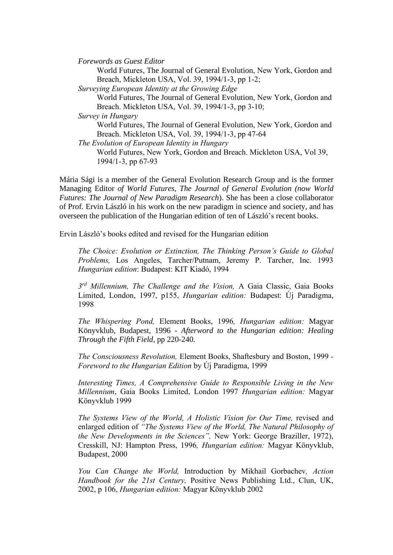*Forewords as Guest Editor*

World Futures, The Journal of General Evolution, New York, Gordon and Breach, Mickleton USA, Vol. 39, 1994/1-3, pp 1-2;

*Surveying European Identity at the Growing Edge*

World Futures, The Journal of General Evolution, New York, Gordon and Breach. Mickleton USA, Vol. 39, 1994/1-3, pp 3-10;

*Survey in Hungary*

World Futures, The Journal of General Evolution, New York, Gordon and Breach. Mickleton USA, Vol. 39, 1994/1-3, pp 47-64

*The Evolution of European Identity in Hungary* World Futures, New York, Gordon and Breach. Mickleton USA, Vol 39,

1994/1-3, pp 67-93

Mária Sági is a member of the General Evolution Research Group and is the former Managing Editor *of World Futures, The Journal of General Evolution (now World Futures: The Journal of New Paradigm Research*). She has been a close collaborator of Prof. Ervin László in his work on the new paradigm in science and society, and has overseen the publication of the Hungarian edition of ten of László's recent books.

Ervin László's books edited and revised for the Hungarian edition

*The Choice: Evolution or Extinction, The Thinking Person's Guide to Global Problems,* Los Angeles, Tarcher/Putnam, Jeremy P. Tarcher, Inc. 1993 *Hungarian edition*: Budapest: KIT Kiadó, 1994

*3 rd Millennium, The Challenge and the Vision,* A Gaia Classic, Gaia Books Limited, London, 1997, p155, *Hungarian edition:* Budapest: Új Paradigma, 1998

*The Whispering Pond,* Element Books, 1996*, Hungarian edition:* Magyar Könyvklub, Budapest, 1996 - *Afterword to the Hungarian edition: Healing Through the Fifth Field*, pp 220-240.

*The Consciousness Revolution,* Element Books, Shaftesbury and Boston, 1999 *- Foreword to the Hungarian Edition* by Új Paradigma, 1999

*Interesting Times, A Comprehensive Guide to Responsible Living in the New Millennium*, Gaia Books Limited, London 1997 *Hungarian edition:* Magyar Könyvklub 1999

The Systems View of the World, A Holistic Vision for Our Time, revised and enlarged edition of *"The Systems View of the World, The Natural Philosophy of the New Developments in the Sciences",* New York: George Braziller, 1972), Cresskill, NJ: Hampton Press, 1996*, Hungarian edition:* Magyar Könyvklub, Budapest, 2000

*You Can Change the World,* Introduction by Mikhail Gorbachev*, Action Handbook for the 21st Century,* Positive News Publishing Ltd., Clun, UK, 2002, p 106, *Hungarian edition:* Magyar Könyvklub 2002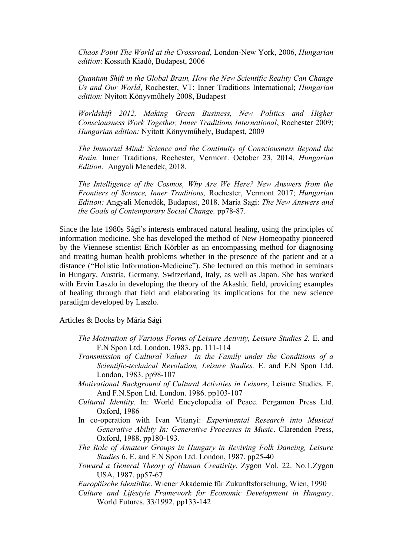*Chaos Point The World at the Crossroad*, London-New York, 2006, *Hungarian edition*: Kossuth Kiadó, Budapest, 2006

*Quantum Shift in the Global Brain, How the New Scientific Reality Can Change Us and Our World*, Rochester, VT: Inner Traditions International; *Hungarian edition:* Nyitott Könyvműhely 2008, Budapest

*Worldshift 2012, Making Green Business, New Politics and Higher Consciousness Work Together, Inner Traditions International*, Rochester 2009; *Hungarian edition:* Nyitott Könyvműhely, Budapest, 2009

*The Immortal Mind: Science and the Continuity of Consciousness Beyond the Brain.* Inner Traditions, Rochester, Vermont. October 23, 2014. *Hungarian Edition:* Angyali Menedek, 2018.

*The Intelligence of the Cosmos, Why Are We Here? New Answers from the Frontiers of Science, Inner Traditions,* Rochester, Vermont 2017; *Hungarian Edition:* Angyali Menedék, Budapest, 2018. Maria Sagi: *The New Answers and the Goals of Contemporary Social Change.* pp78-87.

Since the late 1980s Sági's interests embraced natural healing, using the principles of information medicine. She has developed the method of New Homeopathy pioneered by the Viennese scientist Erich Körbler as an encompassing method for diagnosing and treating human health problems whether in the presence of the patient and at a distance ("Holistic Information-Medicine"). She lectured on this method in seminars in Hungary, Austria, Germany, Switzerland, Italy, as well as Japan. She has worked with Ervin Laszlo in developing the theory of the Akashic field, providing examples of healing through that field and elaborating its implications for the new science paradigm developed by Laszlo.

Articles & Books by Mária Sági

- *The Motivation of Various Forms of Leisure Activity, Leisure Studies 2.* E. and F.N Spon Ltd. London, 1983. pp. 111-114
- *Transmission of Cultural Values in the Family under the Conditions of a Scientific-technical Revolution, Leisure Studies.* E. and F.N Spon Ltd. London, 1983. pp98-107
- *Motivational Background of Cultural Activities in Leisure*, Leisure Studies. E. And F.N.Spon Ltd. London. 1986. pp103-107
- *Cultural Identity.* In: World Encyclopedia of Peace. Pergamon Press Ltd. Oxford, 1986
- In co-operation with Ivan Vitanyi: *Experimental Research into Musical Generative Ability In: Generative Processes in Music*. Clarendon Press, Oxford, 1988. pp180-193.
- *The Role of Amateur Groups in Hungary in Reviving Folk Dancing, Leisure Studies* 6. E. and F.N Spon Ltd. London, 1987. pp25-40
- *Toward a General Theory of Human Creativity*. Zygon Vol. 22. No.1.Zygon USA, 1987. pp57-67
- *Europäische Identitäte*. Wiener Akademie für Zukunftsforschung, Wien, 1990
- *Culture and Lifestyle Framework for Economic Development in Hungary*. World Futures. 33/1992. pp133-142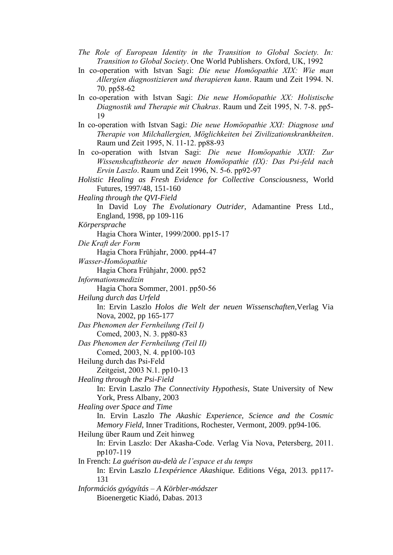- *The Role of European Identity in the Transition to Global Society. In: Transition to Global Society*. One World Publishers. Oxford, UK, 1992
- In co-operation with Istvan Sagi: *Die neue Homöopathie XIX: Wie man Allergien diagnostizieren und therapieren kann*. Raum und Zeit 1994. N. 70. pp58-62
- In co-operation with Istvan Sagi: *Die neue Homöopathie XX: Holistische Diagnostik und Therapie mit Chakras*. Raum und Zeit 1995, N. 7-8. pp5- 19
- In co-operation with Istvan Sagi*: Die neue Homöopathie XXI: Diagnose und Therapie von Milchallergien, Möglichkeiten bei Zivilizationskrankheiten*. Raum und Zeit 1995, N. 11-12. pp88-93
- In co-operation with Istvan Sagi: *Die neue Homöopathie XXII: Zur Wissenshcaftstheorie der neuen Homöopathie (IX): Das Psi-feld nach Ervin Laszlo*. Raum und Zeit 1996, N. 5-6. pp92-97
- *Holistic Healing as Fresh Evidence for Collective Consciousness*, World Futures, 1997/48, 151-160

*Healing through the QVI-Field*

In David Loy *The Evolutionary Outrider*, Adamantine Press Ltd., England, 1998, pp 109-116

- *Körpersprache*
	- Hagia Chora Winter, 1999/2000. pp15-17

*Die Kraft der Form*

Hagia Chora Frühjahr, 2000. pp44-47

*Wasser-Homöopathie*

Hagia Chora Frühjahr, 2000. pp52

*Informationsmedizin*

Hagia Chora Sommer, 2001. pp50-56

*Heilung durch das Urfeld*

In: Ervin Laszlo *Holos die Welt der neuen Wissenschaften*,Verlag Via Nova, 2002, pp 165-177

*Das Phenomen der Fernheilung (Teil I)*

Comed, 2003, N. 3. pp80-83

*Das Phenomen der Fernheilung (Teil II)* Comed, 2003, N. 4. pp100-103

Heilung durch das Psi-Feld

Zeitgeist, 2003 N.1. pp10-13

*Healing through the Psi-Field*

In: Ervin Laszlo *The Connectivity Hypothesis*, State University of New York, Press Albany, 2003

*Healing over Space and Time*

In. Ervin Laszlo *The Akashic Experience, Science and the Cosmic Memory Field*, Inner Traditions, Rochester, Vermont, 2009. pp94-106.

Heilung über Raum und Zeit hinweg

In: Ervin Laszlo: Der Akasha-Code. Verlag Via Nova, Petersberg, 2011. pp107-119

In French: *La guérison au-delà de l'espace et du temps*

In: Ervin Laszlo *L1expérience Akashique.* Editions Véga, 2013. pp117- 131

*Információs gyógyítás – A Körbler-módszer* Bioenergetic Kiadó, Dabas. 2013